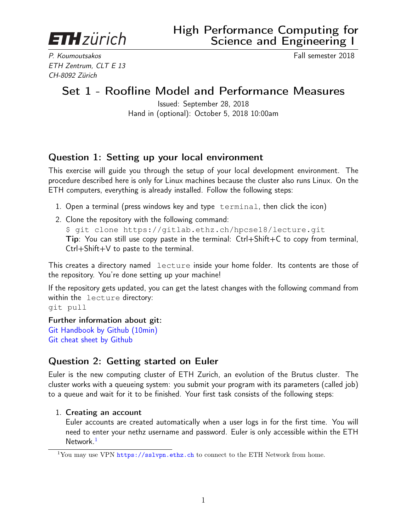<span id="page-0-0"></span>**ETH** zürich

P. Koumoutsakos Fall semester 2018 ETH Zentrum, CLT E 13 CH-8092 Zürich

# Set 1 - Roofline Model and Performance Measures

Issued: September 28, 2018 Hand in (optional): October 5, 2018 10:00am

## Question 1: Setting up your local environment

This exercise will guide you through the setup of your local development environment. The procedure described here is only for Linux machines because the cluster also runs Linux. On the ETH computers, everything is already installed. Follow the following steps:

- 1. Open a terminal (press windows key and type terminal, then click the icon)
- 2. Clone the repository with the following command: \$ git clone https://gitlab.ethz.ch/hpcse18/lecture.git Tip: You can still use copy paste in the terminal: Ctrl+Shift+C to copy from terminal, Ctrl+Shift+V to paste to the terminal.

This creates a directory named lecture inside your home folder. Its contents are those of the repository. You're done setting up your machine!

If the repository gets updated, you can get the latest changes with the following command from within the lecture directory: git pull

Further information about git: [Git Handbook by Github \(10min\)](https://guides.github.com/introduction/git-handbook/) [Git cheat sheet by Github](https://services.github.com/on-demand/downloads/github-git-cheat-sheet.pdf)

## Question 2: Getting started on Euler

Euler is the new computing cluster of ETH Zurich, an evolution of the Brutus cluster. The cluster works with a queueing system: you submit your program with its parameters (called job) to a queue and wait for it to be finished. Your first task consists of the following steps:

#### 1. Creating an account

Euler accounts are created automatically when a user logs in for the first time. You will need to enter your nethz username and password. Euler is only accessible within the ETH Network.<sup>1</sup>

<sup>&</sup>lt;sup>1</sup>You may use VPN <https://sslvpn.ethz.ch> to connect to the ETH Network from home.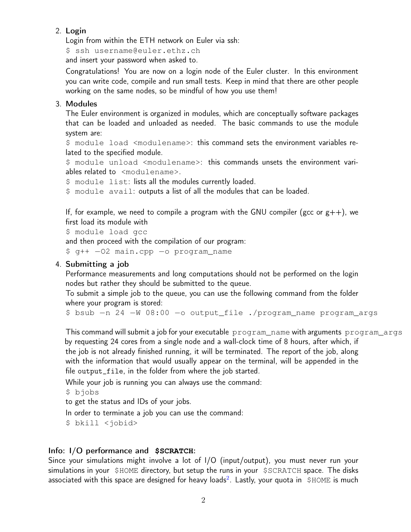#### 2. Login

Login from within the ETH network on Euler via ssh:

\$ ssh username@euler.ethz.ch

and insert your password when asked to.

Congratulations! You are now on a login node of the Euler cluster. In this environment you can write code, compile and run small tests. Keep in mind that there are other people working on the same nodes, so be mindful of how you use them!

#### 3. Modules

The Euler environment is organized in modules, which are conceptually software packages that can be loaded and unloaded as needed. The basic commands to use the module system are:

\$ module load <modulename>: this command sets the environment variables related to the specified module.

\$ module unload <modulename>: this commands unsets the environment variables related to <modulename>.

\$ module list: lists all the modules currently loaded.

\$ module avail: outputs a list of all the modules that can be loaded.

If, for example, we need to compile a program with the GNU compiler (gcc or  $g++$ ), we first load its module with

```
$ module load gcc
```
and then proceed with the compilation of our program:

\$ g++ −O2 main.cpp −o program\_name

#### 4. Submitting a job

Performance measurements and long computations should not be performed on the login nodes but rather they should be submitted to the queue.

To submit a simple job to the queue, you can use the following command from the folder where your program is stored:

\$ bsub −n 24 −W 08:00 −o output\_file ./program\_name program\_args

This command will submit a job for your executable program\_name with arguments program\_args by requesting 24 cores from a single node and a wall-clock time of 8 hours, after which, if the job is not already finished running, it will be terminated. The report of the job, along with the information that would usually appear on the terminal, will be appended in the file output\_file, in the folder from where the job started.

While your job is running you can always use the command:

\$ bjobs

to get the status and IDs of your jobs.

In order to terminate a job you can use the command:

\$ bkill <jobid>

#### Info: I/O performance and **\$SCRATCH**:

Since your simulations might involve a lot of I/O (input/output), you must never run your simulations in your \$HOME directory, but setup the runs in your \$SCRATCH space. The disks associated with this space are designed for heavy loads $^2$  $^2$ . Lastly, your quota in  $\,$  \$HOME is much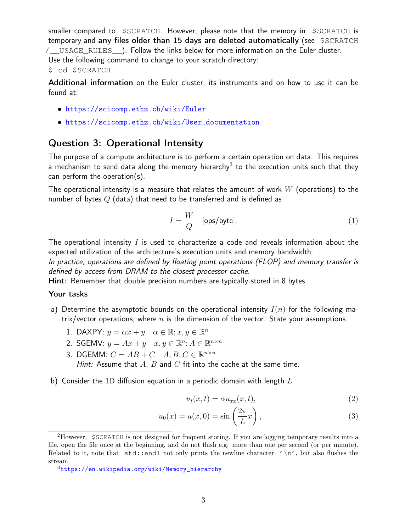smaller compared to \$SCRATCH. However, please note that the memory in \$SCRATCH is temporary and any files older than 15 days are deleted automatically (see \$SCRATCH /\_\_USAGE\_RULES\_\_). Follow the links below for more information on the Euler cluster. Use the following command to change to your scratch directory:

#### \$ cd \$SCRATCH

Additional information on the Euler cluster, its instruments and on how to use it can be found at:

- <https://scicomp.ethz.ch/wiki/Euler>
- [https://scicomp.ethz.ch/wiki/User\\_documentation](https://scicomp.ethz.ch/wiki/User_documentation)

### Question 3: Operational Intensity

The purpose of a compute architecture is to perform a certain operation on data. This requires a mechanism to send data along the memory hierarchy $^3$  $^3$  to the execution units such that they can perform the operation(s).

The operational intensity is a measure that relates the amount of work  $W$  (operations) to the number of bytes  $Q$  (data) that need to be transferred and is defined as

$$
I = \frac{W}{Q} \quad \text{[ops/byte]}.
$$
 (1)

The operational intensity  $I$  is used to characterize a code and reveals information about the expected utilization of the architecture's execution units and memory bandwidth.

In practice, operations are defined by floating point operations (FLOP) and memory transfer is defined by access from DRAM to the closest processor cache.

Hint: Remember that double precision numbers are typically stored in 8 bytes.

#### Your tasks

- a) Determine the asymptotic bounds on the operational intensity  $I(n)$  for the following matrix/vector operations, where  $n$  is the dimension of the vector. State your assumptions.
	- 1. DAXPY:  $y = \alpha x + y \quad \alpha \in \mathbb{R}; x, y \in \mathbb{R}^n$
	- 2. SGEMV:  $y = Ax + y \quad x, y \in \mathbb{R}^n; A \in \mathbb{R}^{n \times n}$
	- 3. DGEMM:  $C = AB + C$   $A, B, C \in \mathbb{R}^{n \times n}$ Hint: Assume that  $A$ ,  $B$  and  $C$  fit into the cache at the same time.
- b) Consider the 1D diffusion equation in a periodic domain with length  $L$

<span id="page-2-0"></span>
$$
u_t(x,t) = \alpha u_{xx}(x,t),\tag{2}
$$

$$
u_0(x) = u(x,0) = \sin\left(\frac{2\pi}{L}x\right),\tag{3}
$$

<sup>2</sup>However, \$SCRATCH is not designed for frequent storing. If you are logging temporary results into a file, open the file once at the beginning, and do not flush e.g. more than one per second (or per minute). Related to it, note that  $std::end1$  not only prints the newline character  $'\n\cdot$ , but also flushes the stream.

<sup>3</sup>[https://en.wikipedia.org/wiki/Memory\\_hierarchy](https://en.wikipedia.org/wiki/Memory_hierarchy)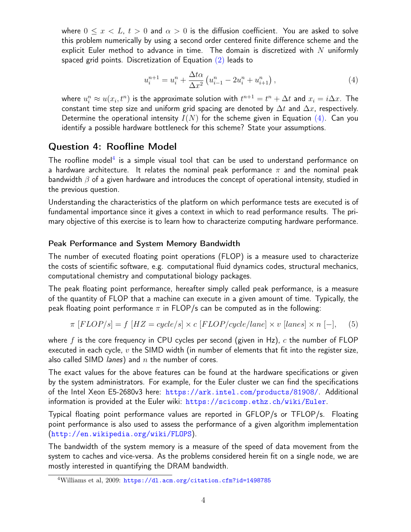where  $0 \leq x < L$ ,  $t > 0$  and  $\alpha > 0$  is the diffusion coefficient. You are asked to solve this problem numerically by using a second order centered finite difference scheme and the explicit Euler method to advance in time. The domain is discretized with  $N$  uniformly spaced grid points. Discretization of Equation [\(2\)](#page-2-0) leads to

<span id="page-3-0"></span>
$$
u_i^{n+1} = u_i^n + \frac{\Delta t \alpha}{\Delta x^2} \left( u_{i-1}^n - 2u_i^n + u_{i+1}^n \right), \tag{4}
$$

where  $u_i^n \approx u(x_i,t^n)$  is the approximate solution with  $t^{n+1} = t^n + \Delta t$  and  $x_i = i\Delta x$ . The constant time step size and uniform grid spacing are denoted by  $\Delta t$  and  $\Delta x$ , respectively. Determine the operational intensity  $I(N)$  for the scheme given in Equation [\(4\)](#page-3-0). Can you identify a possible hardware bottleneck for this scheme? State your assumptions.

### Question 4: Roofline Model

The roofline model<sup>[4](#page-0-0)</sup> is a simple visual tool that can be used to understand performance on a hardware architecture. It relates the nominal peak performance  $\pi$  and the nominal peak bandwidth  $\beta$  of a given hardware and introduces the concept of operational intensity, studied in the previous question.

Understanding the characteristics of the platform on which performance tests are executed is of fundamental importance since it gives a context in which to read performance results. The primary objective of this exercise is to learn how to characterize computing hardware performance.

#### Peak Performance and System Memory Bandwidth

The number of executed floating point operations (FLOP) is a measure used to characterize the costs of scientific software, e.g. computational fluid dynamics codes, structural mechanics, computational chemistry and computational biology packages.

The peak floating point performance, hereafter simply called peak performance, is a measure of the quantity of FLOP that a machine can execute in a given amount of time. Typically, the peak floating point performance  $\pi$  in FLOP/s can be computed as in the following:

$$
\pi [FLOP/s] = f [HZ = cycle/s] \times c [FLOP/cycle/lane] \times v [lanes] \times n [-],
$$
 (5)

where f is the core frequency in CPU cycles per second (given in Hz), c the number of FLOP executed in each cycle,  $v$  the SIMD width (in number of elements that fit into the register size, also called SIMD *lanes*) and  $n$  the number of cores.

The exact values for the above features can be found at the hardware specifications or given by the system administrators. For example, for the Euler cluster we can find the specifications of the Intel Xeon E5-2680v3 here: <https://ark.intel.com/products/81908/>. Additional information is provided at the Euler wiki: <https://scicomp.ethz.ch/wiki/Euler>.

Typical floating point performance values are reported in GFLOP/s or TFLOP/s. Floating point performance is also used to assess the performance of a given algorithm implementation (<http://en.wikipedia.org/wiki/FLOPS>).

The bandwidth of the system memory is a measure of the speed of data movement from the system to caches and vice-versa. As the problems considered herein fit on a single node, we are mostly interested in quantifying the DRAM bandwidth.

<sup>4</sup>Williams et al, 2009: <https://dl.acm.org/citation.cfm?id=1498785>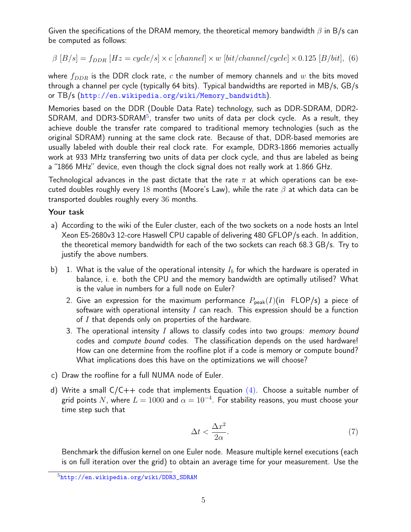Given the specifications of the DRAM memory, the theoretical memory bandwidth  $\beta$  in B/s can be computed as follows:

$$
\beta [B/s] = f_{DDR} [Hz = cycle/s] \times c [channel] \times w [bit/channel/cycle] \times 0.125 [B/bit], (6)
$$

where  $f_{DDR}$  is the DDR clock rate, c the number of memory channels and w the bits moved through a channel per cycle (typically 64 bits). Typical bandwidths are reported in MB/s, GB/s or TB/s ([http://en.wikipedia.org/wiki/Memory\\_bandwidth](http://en.wikipedia.org/wiki/Memory_bandwidth)).

Memories based on the DDR (Double Data Rate) technology, such as DDR-SDRAM, DDR2- SDRAM, and DDR3-SDRAM<sup>[5](#page-0-0)</sup>, transfer two units of data per clock cycle. As a result, they achieve double the transfer rate compared to traditional memory technologies (such as the original SDRAM) running at the same clock rate. Because of that, DDR-based memories are usually labeled with double their real clock rate. For example, DDR3-1866 memories actually work at 933 MHz transferring two units of data per clock cycle, and thus are labeled as being a "1866 MHz" device, even though the clock signal does not really work at 1.866 GHz.

Technological advances in the past dictate that the rate  $\pi$  at which operations can be executed doubles roughly every 18 months (Moore's Law), while the rate  $\beta$  at which data can be transported doubles roughly every 36 months.

#### Your task

- a) According to the wiki of the Euler cluster, each of the two sockets on a node hosts an Intel Xeon E5-2680v3 12-core Haswell CPU capable of delivering 480 GFLOP/s each. In addition, the theoretical memory bandwidth for each of the two sockets can reach 68.3 GB/s. Try to justify the above numbers.
- b) 1. What is the value of the operational intensity  $I_b$  for which the hardware is operated in balance, i. e. both the CPU and the memory bandwidth are optimally utilised? What is the value in numbers for a full node on Euler?
	- 2. Give an expression for the maximum performance  $P_{peak}(I)(in FLOP/s)$  a piece of software with operational intensity  $I$  can reach. This expression should be a function of  $I$  that depends only on properties of the hardware.
	- 3. The operational intensity  $I$  allows to classify codes into two groups: *memory bound* codes and compute bound codes. The classification depends on the used hardware! How can one determine from the roofline plot if a code is memory or compute bound? What implications does this have on the optimizations we will choose?
- <span id="page-4-0"></span>c) Draw the roofline for a full NUMA node of Euler.
- d) Write a small  $C/C++$  code that implements Equation  $(4)$ . Choose a suitable number of grid points  $N$ , where  $L=1000$  and  $\alpha=10^{-4}.$  For stability reasons, you must choose your time step such that

$$
\Delta t < \frac{\Delta x^2}{2\alpha}.\tag{7}
$$

Benchmark the diffusion kernel on one Euler node. Measure multiple kernel executions (each is on full iteration over the grid) to obtain an average time for your measurement. Use the

<sup>5</sup>[http://en.wikipedia.org/wiki/DDR3\\_SDRAM](http://en.wikipedia.org/wiki/DDR3_SDRAM)